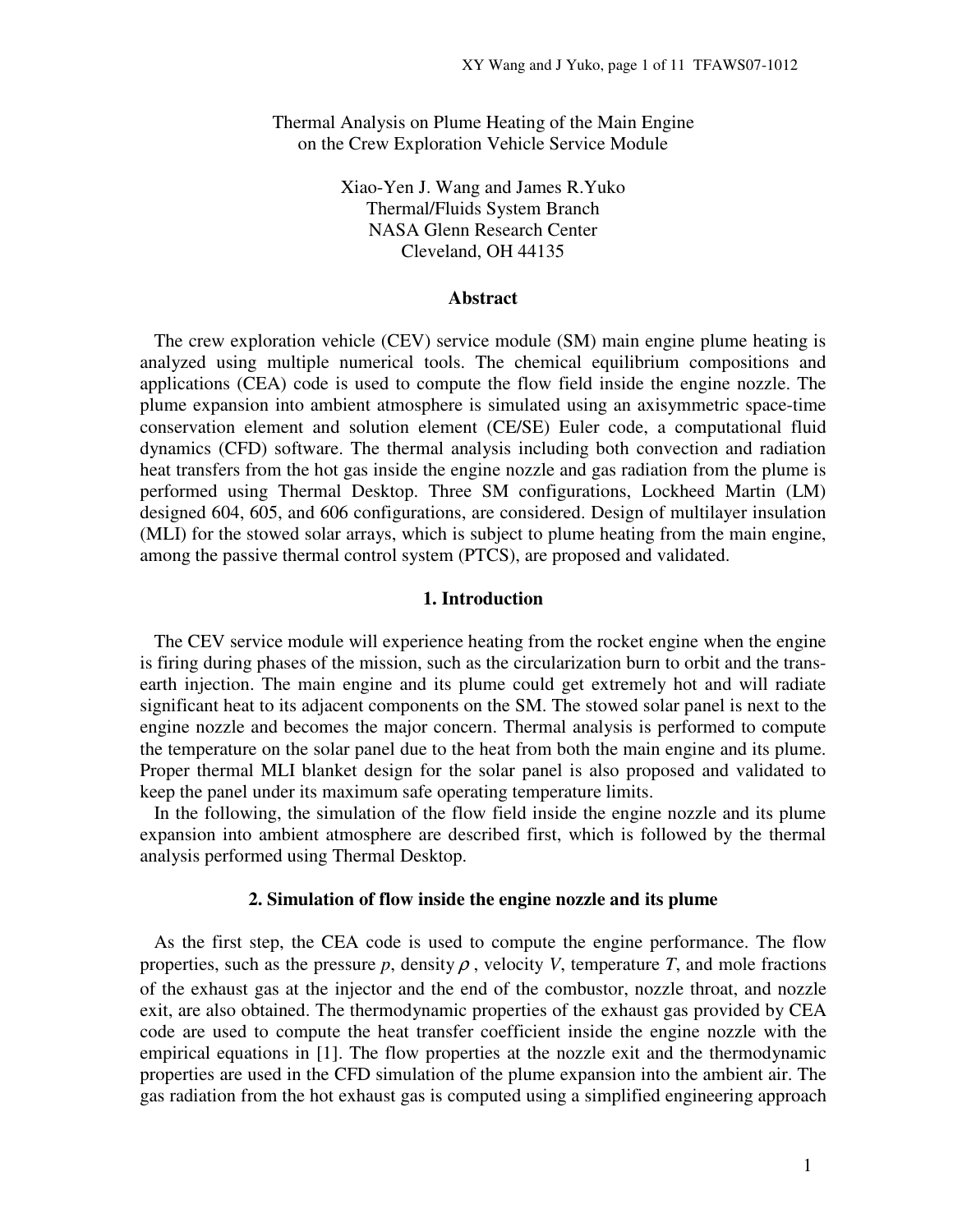Thermal Analysis on Plume Heating of the Main Engine on the Crew Exploration Vehicle Service Module

> Xiao-Yen J. Wang and James R.Yuko Thermal/Fluids System Branch NASA Glenn Research Center Cleveland, OH 44135

### **Abstract**

 The crew exploration vehicle (CEV) service module (SM) main engine plume heating is analyzed using multiple numerical tools. The chemical equilibrium compositions and applications (CEA) code is used to compute the flow field inside the engine nozzle. The plume expansion into ambient atmosphere is simulated using an axisymmetric space-time conservation element and solution element (CE/SE) Euler code, a computational fluid dynamics (CFD) software. The thermal analysis including both convection and radiation heat transfers from the hot gas inside the engine nozzle and gas radiation from the plume is performed using Thermal Desktop. Three SM configurations, Lockheed Martin (LM) designed 604, 605, and 606 configurations, are considered. Design of multilayer insulation (MLI) for the stowed solar arrays, which is subject to plume heating from the main engine, among the passive thermal control system (PTCS), are proposed and validated.

#### **1. Introduction**

 The CEV service module will experience heating from the rocket engine when the engine is firing during phases of the mission, such as the circularization burn to orbit and the transearth injection. The main engine and its plume could get extremely hot and will radiate significant heat to its adjacent components on the SM. The stowed solar panel is next to the engine nozzle and becomes the major concern. Thermal analysis is performed to compute the temperature on the solar panel due to the heat from both the main engine and its plume. Proper thermal MLI blanket design for the solar panel is also proposed and validated to keep the panel under its maximum safe operating temperature limits.

 In the following, the simulation of the flow field inside the engine nozzle and its plume expansion into ambient atmosphere are described first, which is followed by the thermal analysis performed using Thermal Desktop.

#### **2. Simulation of flow inside the engine nozzle and its plume**

 As the first step, the CEA code is used to compute the engine performance. The flow properties, such as the pressure  $p$ , density  $\rho$ , velocity *V*, temperature *T*, and mole fractions of the exhaust gas at the injector and the end of the combustor, nozzle throat, and nozzle exit, are also obtained. The thermodynamic properties of the exhaust gas provided by CEA code are used to compute the heat transfer coefficient inside the engine nozzle with the empirical equations in [1]. The flow properties at the nozzle exit and the thermodynamic properties are used in the CFD simulation of the plume expansion into the ambient air. The gas radiation from the hot exhaust gas is computed using a simplified engineering approach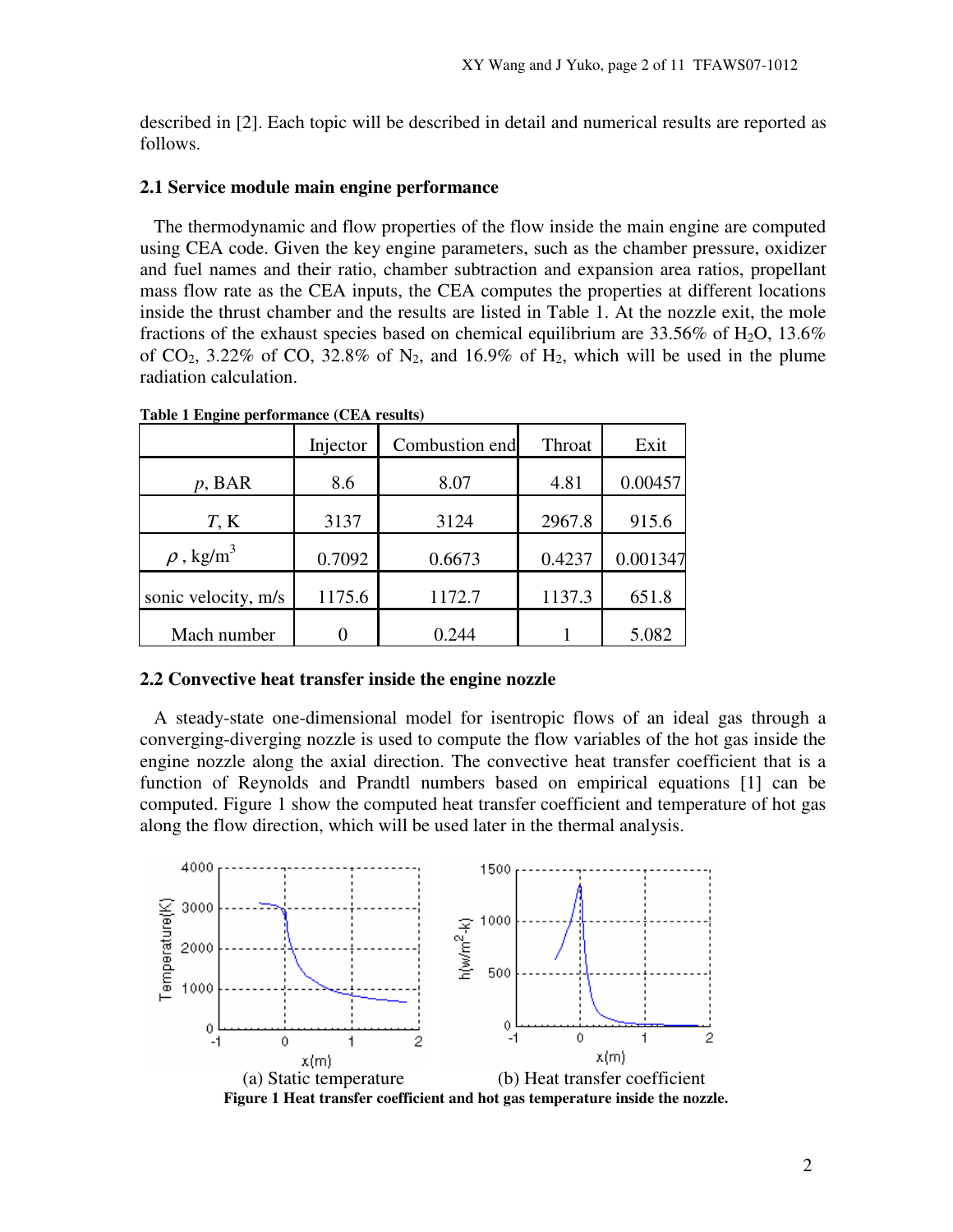described in [2]. Each topic will be described in detail and numerical results are reported as follows.

## **2.1 Service module main engine performance**

 The thermodynamic and flow properties of the flow inside the main engine are computed using CEA code. Given the key engine parameters, such as the chamber pressure, oxidizer and fuel names and their ratio, chamber subtraction and expansion area ratios, propellant mass flow rate as the CEA inputs, the CEA computes the properties at different locations inside the thrust chamber and the results are listed in Table 1. At the nozzle exit, the mole fractions of the exhaust species based on chemical equilibrium are  $33.56\%$  of H<sub>2</sub>O, 13.6% of  $CO_2$ , 3.22% of  $CO$ , 32.8% of  $N_2$ , and 16.9% of  $H_2$ , which will be used in the plume radiation calculation.

|                            | Injector | Combustion end | Throat | Exit     |
|----------------------------|----------|----------------|--------|----------|
| $p$ , BAR                  | 8.6      | 8.07           | 4.81   | 0.00457  |
| $T$ , K                    | 3137     | 3124           | 2967.8 | 915.6    |
| $\rho$ , kg/m <sup>3</sup> | 0.7092   | 0.6673         | 0.4237 | 0.001347 |
| sonic velocity, m/s        | 1175.6   | 1172.7         | 1137.3 | 651.8    |
| Mach number                |          | 0.244          |        | 5.082    |

**Table 1 Engine performance (CEA results)** 

### **2.2 Convective heat transfer inside the engine nozzle**

 A steady-state one-dimensional model for isentropic flows of an ideal gas through a converging-diverging nozzle is used to compute the flow variables of the hot gas inside the engine nozzle along the axial direction. The convective heat transfer coefficient that is a function of Reynolds and Prandtl numbers based on empirical equations [1] can be computed. Figure 1 show the computed heat transfer coefficient and temperature of hot gas along the flow direction, which will be used later in the thermal analysis.



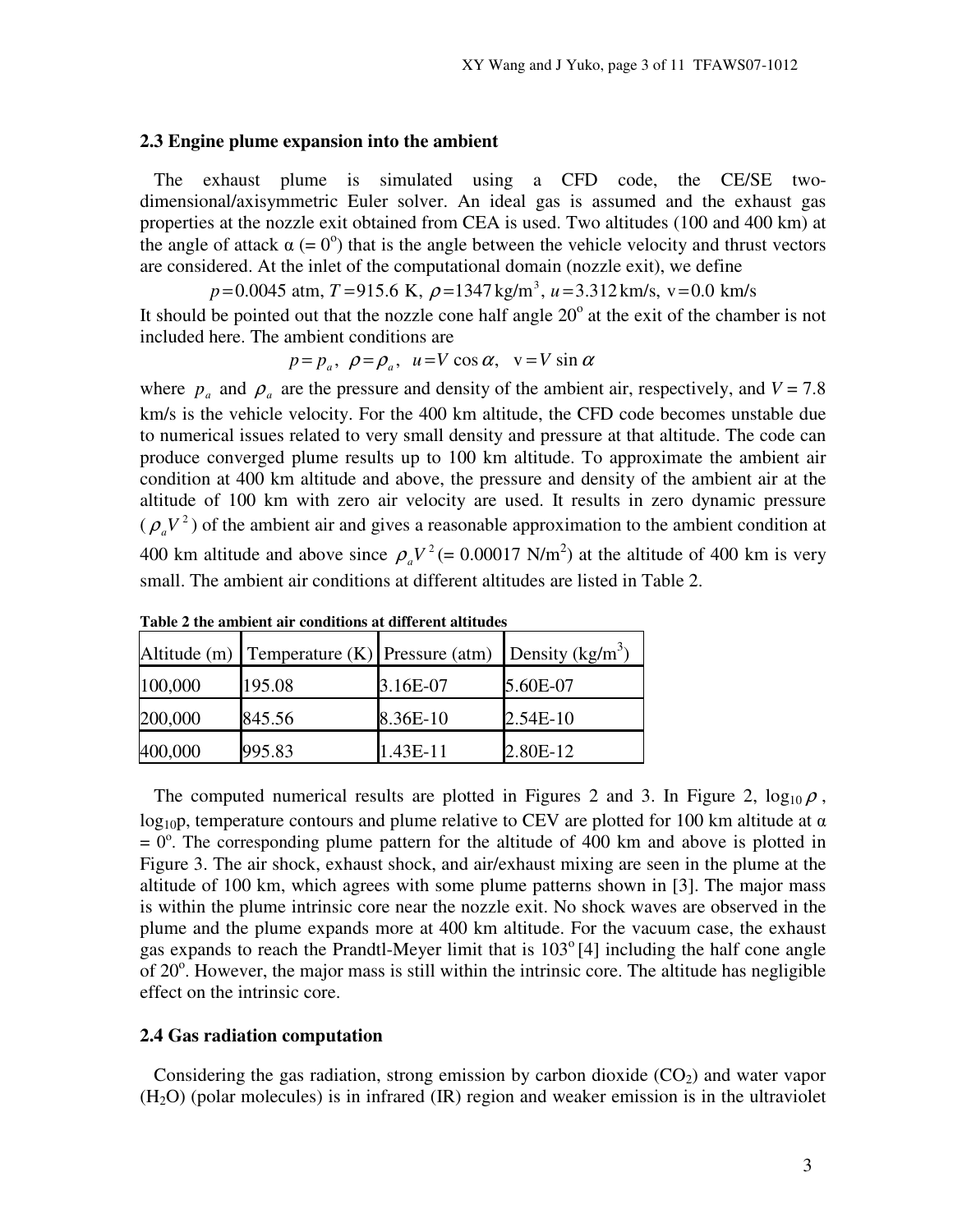#### **2.3 Engine plume expansion into the ambient**

 The exhaust plume is simulated using a CFD code, the CE/SE twodimensional/axisymmetric Euler solver. An ideal gas is assumed and the exhaust gas properties at the nozzle exit obtained from CEA is used. Two altitudes (100 and 400 km) at the angle of attack  $\alpha$  (= 0<sup>o</sup>) that is the angle between the vehicle velocity and thrust vectors are considered. At the inlet of the computational domain (nozzle exit), we define

 $p = 0.0045$  atm,  $T = 915.6$  K,  $\rho = 1347$  kg/m<sup>3</sup>,  $u = 3.312$  km/s,  $v = 0.0$  km/s

It should be pointed out that the nozzle cone half angle  $20^{\circ}$  at the exit of the chamber is not included here. The ambient conditions are

$$
p=p_a
$$
,  $\rho=\rho_a$ ,  $u=V\cos\alpha$ ,  $v=V\sin\alpha$ 

where  $p_a$  and  $p_a$  are the pressure and density of the ambient air, respectively, and  $V = 7.8$ km/s is the vehicle velocity. For the 400 km altitude, the CFD code becomes unstable due to numerical issues related to very small density and pressure at that altitude. The code can produce converged plume results up to 100 km altitude. To approximate the ambient air condition at 400 km altitude and above, the pressure and density of the ambient air at the altitude of 100 km with zero air velocity are used. It results in zero dynamic pressure  $(\rho_a V^2)$  of the ambient air and gives a reasonable approximation to the ambient condition at 400 km altitude and above since  $\rho_a V^2 (= 0.00017 \text{ N/m}^2)$  at the altitude of 400 km is very small. The ambient air conditions at different altitudes are listed in Table 2.

|         | Altitude (m) Temperature (K) Pressure (atm) Density (kg/m <sup>3</sup> ) |          |            |
|---------|--------------------------------------------------------------------------|----------|------------|
| 100,000 | 195.08                                                                   | 3.16E-07 | 5.60E-07   |
| 200,000 | 845.56                                                                   | 8.36E-10 | $2.54E-10$ |
| 400,000 | 995.83                                                                   | 1.43E-11 | 2.80E-12   |

**Table 2 the ambient air conditions at different altitudes** 

The computed numerical results are plotted in Figures 2 and 3. In Figure 2,  $\log_{10} \rho$ ,  $log_{10}$ , temperature contours and plume relative to CEV are plotted for 100 km altitude at  $\alpha$  $= 0^\circ$ . The corresponding plume pattern for the altitude of 400 km and above is plotted in Figure 3. The air shock, exhaust shock, and air/exhaust mixing are seen in the plume at the altitude of 100 km, which agrees with some plume patterns shown in [3]. The major mass is within the plume intrinsic core near the nozzle exit. No shock waves are observed in the plume and the plume expands more at 400 km altitude. For the vacuum case, the exhaust gas expands to reach the Prandtl-Meyer limit that is  $103^{\circ}$  [4] including the half cone angle of  $20^\circ$ . However, the major mass is still within the intrinsic core. The altitude has negligible effect on the intrinsic core.

# **2.4 Gas radiation computation**

Considering the gas radiation, strong emission by carbon dioxide  $(CO<sub>2</sub>)$  and water vapor  $(H<sub>2</sub>O)$  (polar molecules) is in infrared (IR) region and weaker emission is in the ultraviolet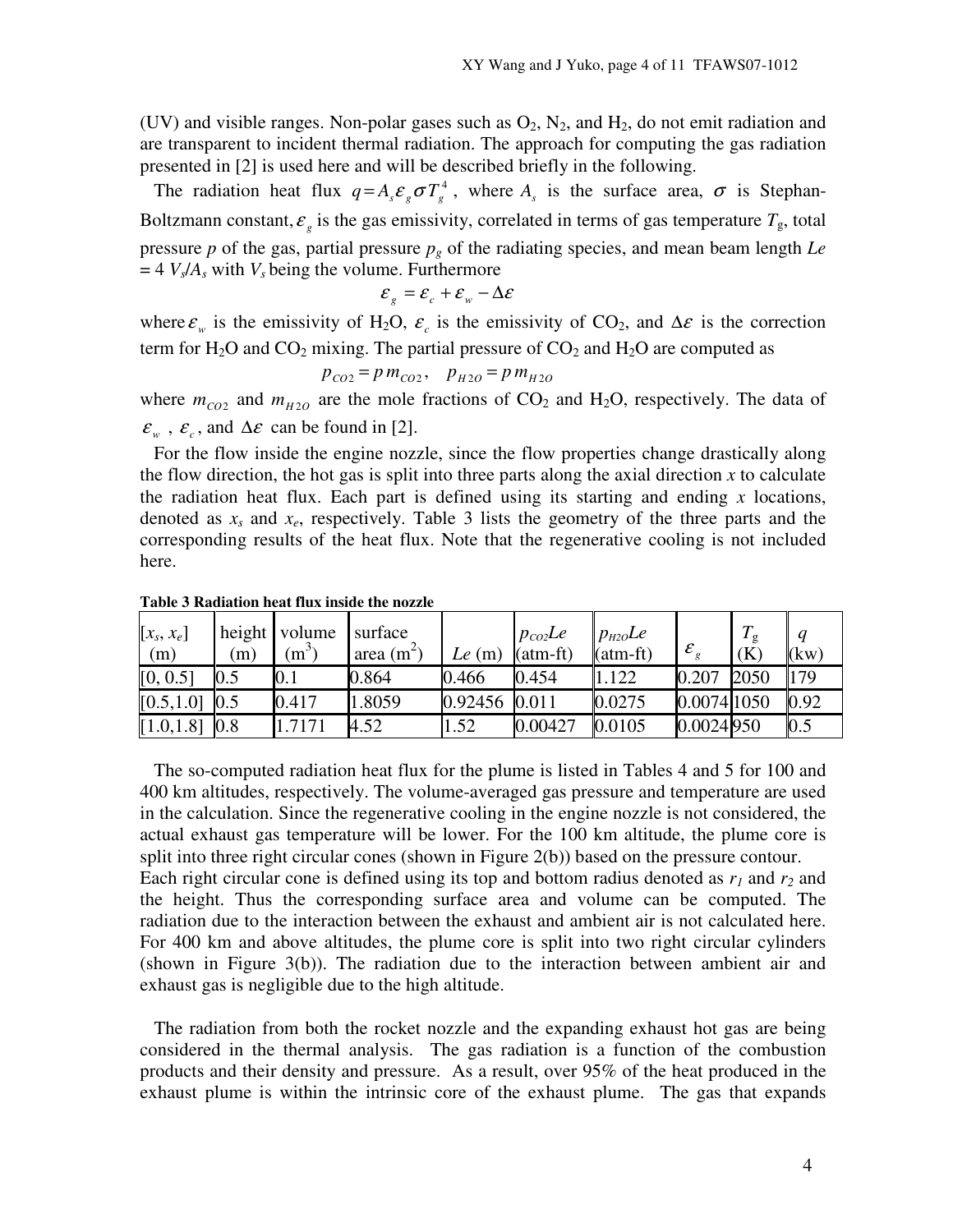(UV) and visible ranges. Non-polar gases such as  $O_2$ ,  $N_2$ , and  $H_2$ , do not emit radiation and are transparent to incident thermal radiation. The approach for computing the gas radiation presented in [2] is used here and will be described briefly in the following.

The radiation heat flux  $q = A_s \varepsilon_g \sigma T_g^4$ , where  $A_s$  is the surface area,  $\sigma$  is Stephan-Boltzmann constant,  $\varepsilon_g$  is the gas emissivity, correlated in terms of gas temperature  $T_g$ , total pressure *p* of the gas, partial pressure *pg* of the radiating species, and mean beam length *Le*  $= 4$   $V_s/A_s$  with  $V_s$  being the volume. Furthermore

$$
\mathcal{E}_{g} = \mathcal{E}_{c} + \mathcal{E}_{w} - \Delta \mathcal{E}
$$

where  $\varepsilon_w$  is the emissivity of H<sub>2</sub>O,  $\varepsilon_c$  is the emissivity of CO<sub>2</sub>, and  $\Delta \varepsilon$  is the correction term for  $H_2O$  and  $CO_2$  mixing. The partial pressure of  $CO_2$  and  $H_2O$  are computed as

$$
p_{CO2} = p m_{CO2}, \quad p_{H2O} = p m_{H2O}
$$

where  $m_{CO2}$  and  $m_{H2O}$  are the mole fractions of CO<sub>2</sub> and H<sub>2</sub>O, respectively. The data of  $\varepsilon_w$ ,  $\varepsilon_c$ , and  $\Delta \varepsilon$  can be found in [2].

 For the flow inside the engine nozzle, since the flow properties change drastically along the flow direction, the hot gas is split into three parts along the axial direction  $x$  to calculate the radiation heat flux. Each part is defined using its starting and ending  $x$  locations, denoted as *xs* and *xe*, respectively. Table 3 lists the geometry of the three parts and the corresponding results of the heat flux. Note that the regenerative cooling is not included here.

| $[x_s, x_e]$<br>(m) | (m) | height volume<br>$(m^3)$ | surface<br>area $(m^2)$ | Le $(m)$      | $p_{co2}$ Le<br>$(atm-ft)$ | $p_{H2O}$ Le<br>$(atm-ft)$ | $\pmb{\mathcal{E}}$ | $T_{\mathfrak{o}}$<br>(K) | (kw)           |
|---------------------|-----|--------------------------|-------------------------|---------------|----------------------------|----------------------------|---------------------|---------------------------|----------------|
| [0, 0.5]            |     | $\rm 0.1$                | 0.864                   | 0.466         | 0.454                      | 1.122                      | 0.207               | 2050                      | 179            |
| [0.5, 1.0]          | 0.5 | 0.417                    | 1.8059                  | 0.92456 0.011 |                            | 0.0275                     | 0.0074 1050         |                           | $ 0.92\rangle$ |
| [1.0, 1.8]          | 0.8 | .7171                    | 4.52                    | 1.52          | 0.00427                    | 0.0105                     | 0.0024950           |                           | 0.5            |

**Table 3 Radiation heat flux inside the nozzle** 

 The so-computed radiation heat flux for the plume is listed in Tables 4 and 5 for 100 and 400 km altitudes, respectively. The volume-averaged gas pressure and temperature are used in the calculation. Since the regenerative cooling in the engine nozzle is not considered, the actual exhaust gas temperature will be lower. For the 100 km altitude, the plume core is split into three right circular cones (shown in Figure 2(b)) based on the pressure contour. Each right circular cone is defined using its top and bottom radius denoted as  $r_1$  and  $r_2$  and the height. Thus the corresponding surface area and volume can be computed. The radiation due to the interaction between the exhaust and ambient air is not calculated here. For 400 km and above altitudes, the plume core is split into two right circular cylinders (shown in Figure 3(b)). The radiation due to the interaction between ambient air and exhaust gas is negligible due to the high altitude.

 The radiation from both the rocket nozzle and the expanding exhaust hot gas are being considered in the thermal analysis. The gas radiation is a function of the combustion products and their density and pressure. As a result, over 95% of the heat produced in the exhaust plume is within the intrinsic core of the exhaust plume. The gas that expands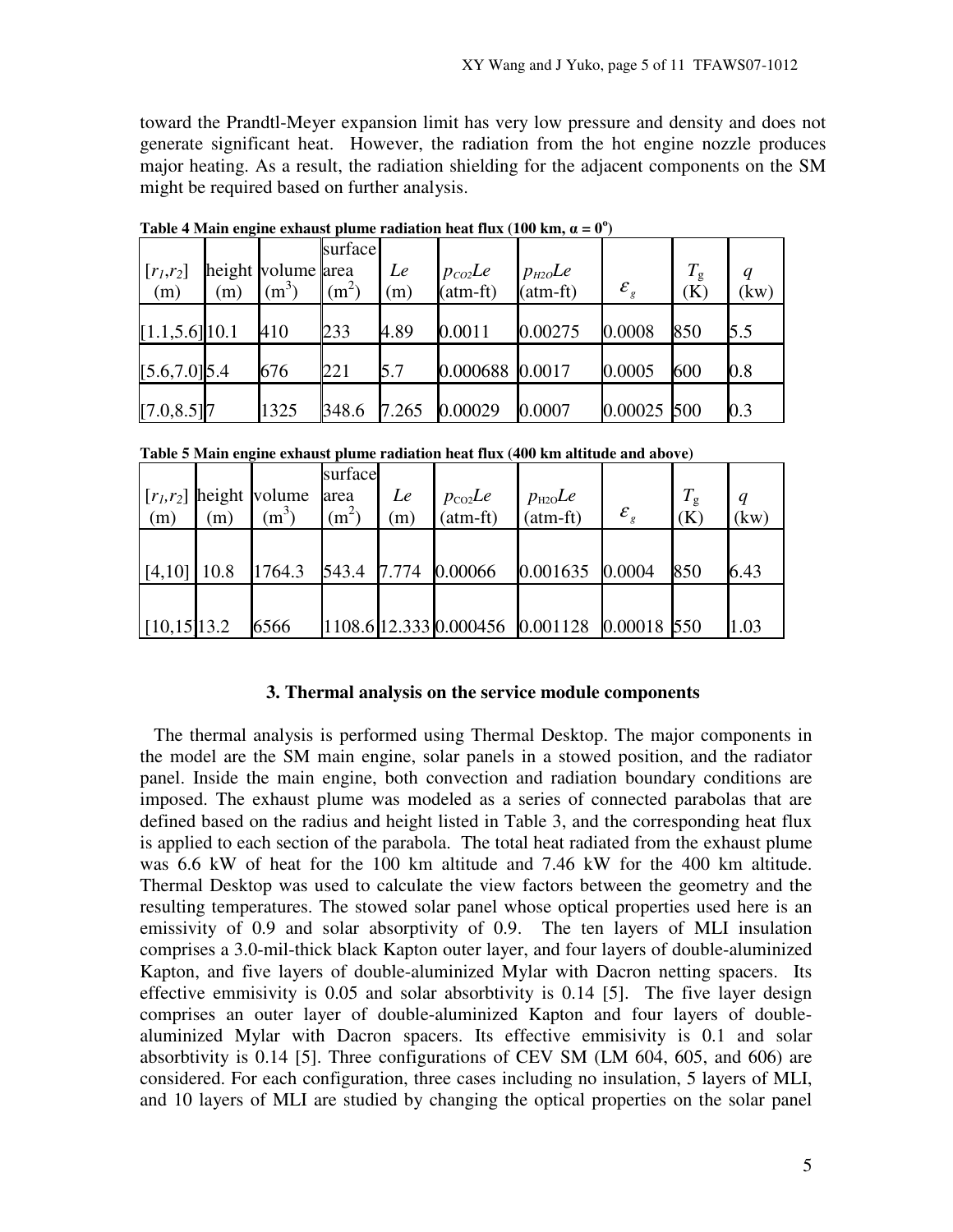toward the Prandtl-Meyer expansion limit has very low pressure and density and does not generate significant heat. However, the radiation from the hot engine nozzle produces major heating. As a result, the radiation shielding for the adjacent components on the SM might be required based on further analysis.

| $[r_1,r_2]$<br>(m) | (m) | height volume area<br>$(m^3)$ | surface<br>(m <sup>2</sup> ) | Le<br>(m) | $p_{co2}$ Le<br>$(atm-ft)$ | $p_{H2O}$ Le<br>$(atm-ft)$ | $\varepsilon_{\scriptscriptstyle g}$ | $T_{\rm g}$<br>(K) | $\boldsymbol{q}$<br>(kw) |
|--------------------|-----|-------------------------------|------------------------------|-----------|----------------------------|----------------------------|--------------------------------------|--------------------|--------------------------|
| $[1.1, 5.6]$ 10.1  |     | 410                           | 233                          | 4.89      | 0.0011                     | 0.00275                    | 0.0008                               | 850                | 5.5                      |
| $[5.6, 7.0]$ 5.4   |     | 676                           | 221                          | 5.7       | 0.000688 0.0017            |                            | 0.0005                               | 600                | 0.8                      |
| $[7.0, 8.5]$ 7     |     | 1325                          | 348.6                        | 7.265     | 0.00029                    | 0.0007                     | 0.00025 500                          |                    | 0.3                      |

**Table 4 Main engine exhaust plume radiation heat flux (100 km,**  $\alpha = 0^{\circ}$ **)** 

**Table 5 Main engine exhaust plume radiation heat flux (400 km altitude and above)** 

|                 |     |                            | surface |     |                                |                                             |                   |             |      |
|-----------------|-----|----------------------------|---------|-----|--------------------------------|---------------------------------------------|-------------------|-------------|------|
|                 |     | $[r_1, r_2]$ height volume | area    | Le  |                                |                                             |                   | $T_{\rm g}$ |      |
| (m)             | (m) | $(m^3)$                    | $(m^2)$ | (m) | $p_{\text{co2}}Le$<br>(atm-ft) | $p_{\text{H2O}}$ Le (atm-ft)                | $\mathcal{E}_{g}$ | (K)         | (kw) |
|                 |     |                            |         |     |                                |                                             |                   |             |      |
| $[4,10]$ 10.8   |     | 1764.3                     |         |     | 543.4 7.774 0.00066            | 0.001635 0.0004                             |                   | 850         | 6.43 |
|                 |     |                            |         |     |                                |                                             |                   |             |      |
| $[10, 15]$ 13.2 |     | 6566                       |         |     |                                | 1108.6 12.333 0.000456 0.001128 0.00018 550 |                   |             | 1.03 |

#### **3. Thermal analysis on the service module components**

 The thermal analysis is performed using Thermal Desktop. The major components in the model are the SM main engine, solar panels in a stowed position, and the radiator panel. Inside the main engine, both convection and radiation boundary conditions are imposed. The exhaust plume was modeled as a series of connected parabolas that are defined based on the radius and height listed in Table 3, and the corresponding heat flux is applied to each section of the parabola. The total heat radiated from the exhaust plume was 6.6 kW of heat for the 100 km altitude and 7.46 kW for the 400 km altitude. Thermal Desktop was used to calculate the view factors between the geometry and the resulting temperatures. The stowed solar panel whose optical properties used here is an emissivity of 0.9 and solar absorptivity of 0.9. The ten layers of MLI insulation comprises a 3.0-mil-thick black Kapton outer layer, and four layers of double-aluminized Kapton, and five layers of double-aluminized Mylar with Dacron netting spacers. Its effective emmisivity is 0.05 and solar absorbtivity is 0.14 [5]. The five layer design comprises an outer layer of double-aluminized Kapton and four layers of doublealuminized Mylar with Dacron spacers. Its effective emmisivity is 0.1 and solar absorbtivity is 0.14 [5]. Three configurations of CEV SM (LM 604, 605, and 606) are considered. For each configuration, three cases including no insulation, 5 layers of MLI, and 10 layers of MLI are studied by changing the optical properties on the solar panel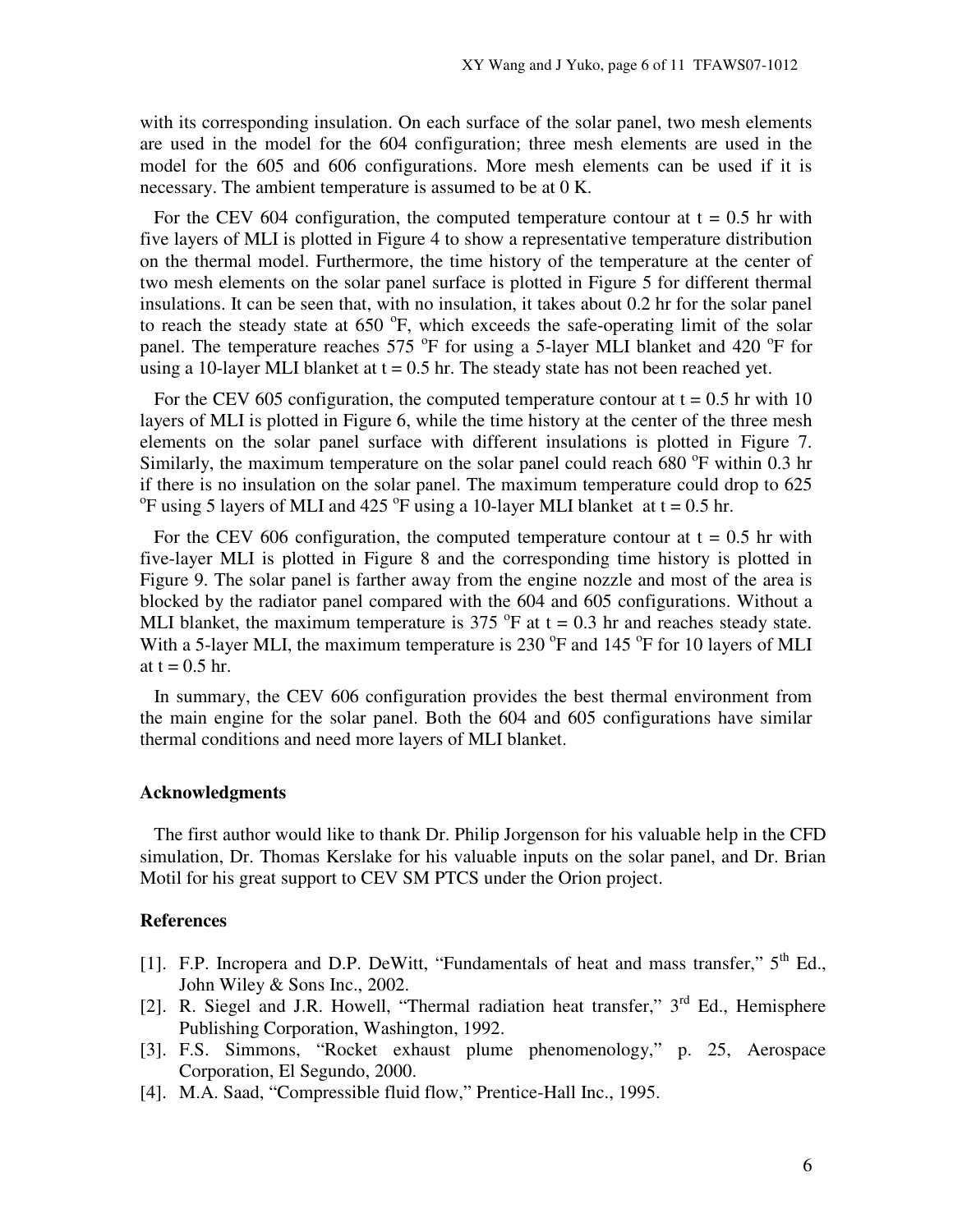with its corresponding insulation. On each surface of the solar panel, two mesh elements are used in the model for the 604 configuration; three mesh elements are used in the model for the 605 and 606 configurations. More mesh elements can be used if it is necessary. The ambient temperature is assumed to be at 0 K.

For the CEV 604 configuration, the computed temperature contour at  $t = 0.5$  hr with five layers of MLI is plotted in Figure 4 to show a representative temperature distribution on the thermal model. Furthermore, the time history of the temperature at the center of two mesh elements on the solar panel surface is plotted in Figure 5 for different thermal insulations. It can be seen that, with no insulation, it takes about 0.2 hr for the solar panel to reach the steady state at  $650^\circ$ F, which exceeds the safe-operating limit of the solar panel. The temperature reaches 575 °F for using a 5-layer MLI blanket and 420 °F for using a 10-layer MLI blanket at  $t = 0.5$  hr. The steady state has not been reached yet.

For the CEV 605 configuration, the computed temperature contour at  $t = 0.5$  hr with 10 layers of MLI is plotted in Figure 6, while the time history at the center of the three mesh elements on the solar panel surface with different insulations is plotted in Figure 7. Similarly, the maximum temperature on the solar panel could reach  $680^{\circ}$ F within 0.3 hr if there is no insulation on the solar panel. The maximum temperature could drop to 625 <sup>o</sup>F using 5 layers of MLI and 425 <sup>o</sup>F using a 10-layer MLI blanket at  $t = 0.5$  hr.

For the CEV 606 configuration, the computed temperature contour at  $t = 0.5$  hr with five-layer MLI is plotted in Figure 8 and the corresponding time history is plotted in Figure 9. The solar panel is farther away from the engine nozzle and most of the area is blocked by the radiator panel compared with the 604 and 605 configurations. Without a MLI blanket, the maximum temperature is 375  $\degree$ F at t = 0.3 hr and reaches steady state. With a 5-layer MLI, the maximum temperature is 230  $\mathrm{^oF}$  and 145  $\mathrm{^oF}$  for 10 layers of MLI at  $t = 0.5$  hr.

 In summary, the CEV 606 configuration provides the best thermal environment from the main engine for the solar panel. Both the 604 and 605 configurations have similar thermal conditions and need more layers of MLI blanket.

### **Acknowledgments**

 The first author would like to thank Dr. Philip Jorgenson for his valuable help in the CFD simulation, Dr. Thomas Kerslake for his valuable inputs on the solar panel, and Dr. Brian Motil for his great support to CEV SM PTCS under the Orion project.

# **References**

- [1]. F.P. Incropera and D.P. DeWitt, "Fundamentals of heat and mass transfer,"  $5<sup>th</sup>$  Ed., John Wiley & Sons Inc., 2002.
- [2]. R. Siegel and J.R. Howell, "Thermal radiation heat transfer," 3<sup>rd</sup> Ed., Hemisphere Publishing Corporation, Washington, 1992.
- [3]. F.S. Simmons, "Rocket exhaust plume phenomenology," p. 25, Aerospace Corporation, El Segundo, 2000.
- [4]. M.A. Saad, "Compressible fluid flow," Prentice-Hall Inc., 1995.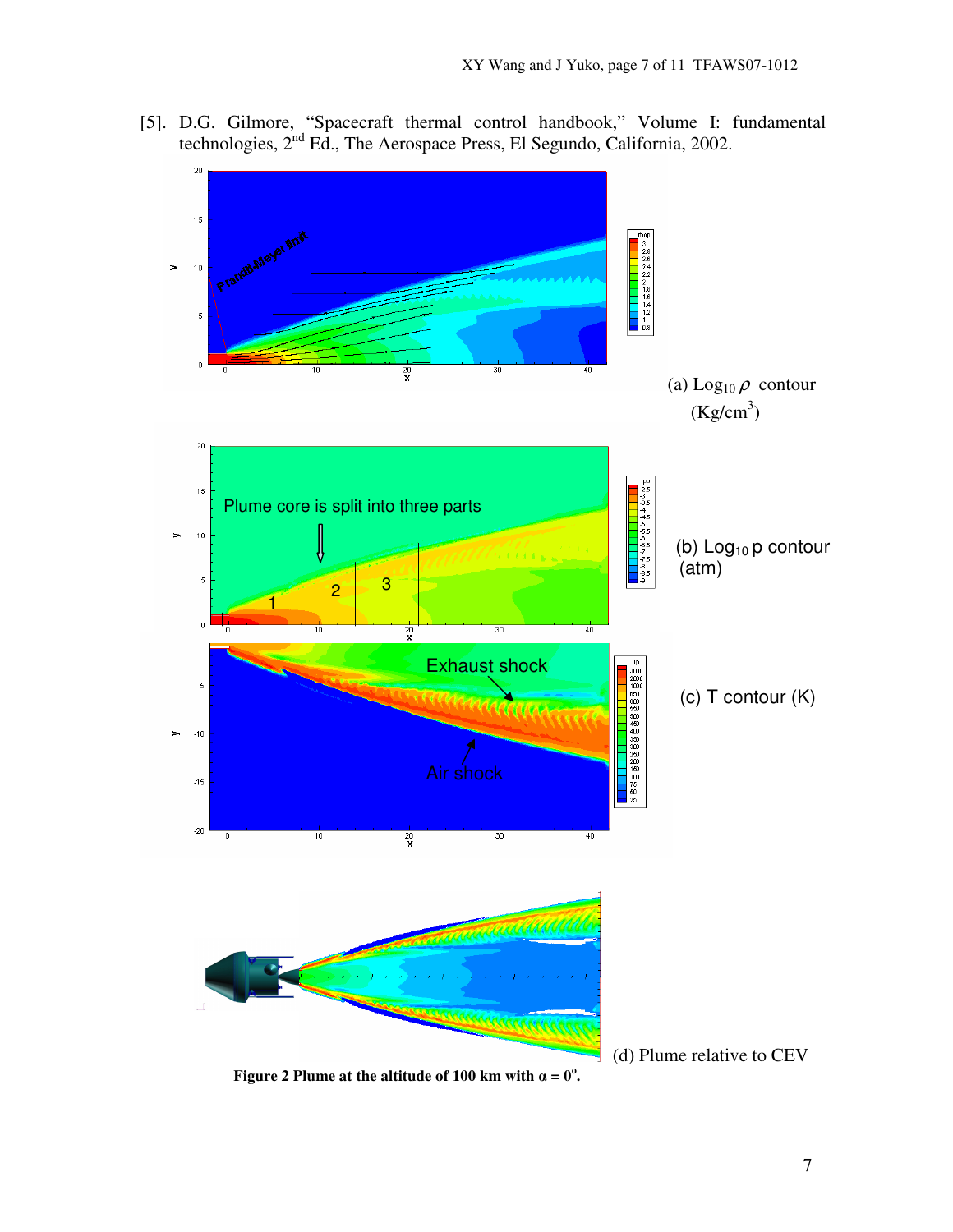[5]. D.G. Gilmore, "Spacecraft thermal control handbook," Volume I: fundamental technologies, 2nd Ed., The Aerospace Press, El Segundo, California, 2002.



 **Figure 2 Plume at the altitude of 100 km with**  $\alpha = 0^\circ$ **.**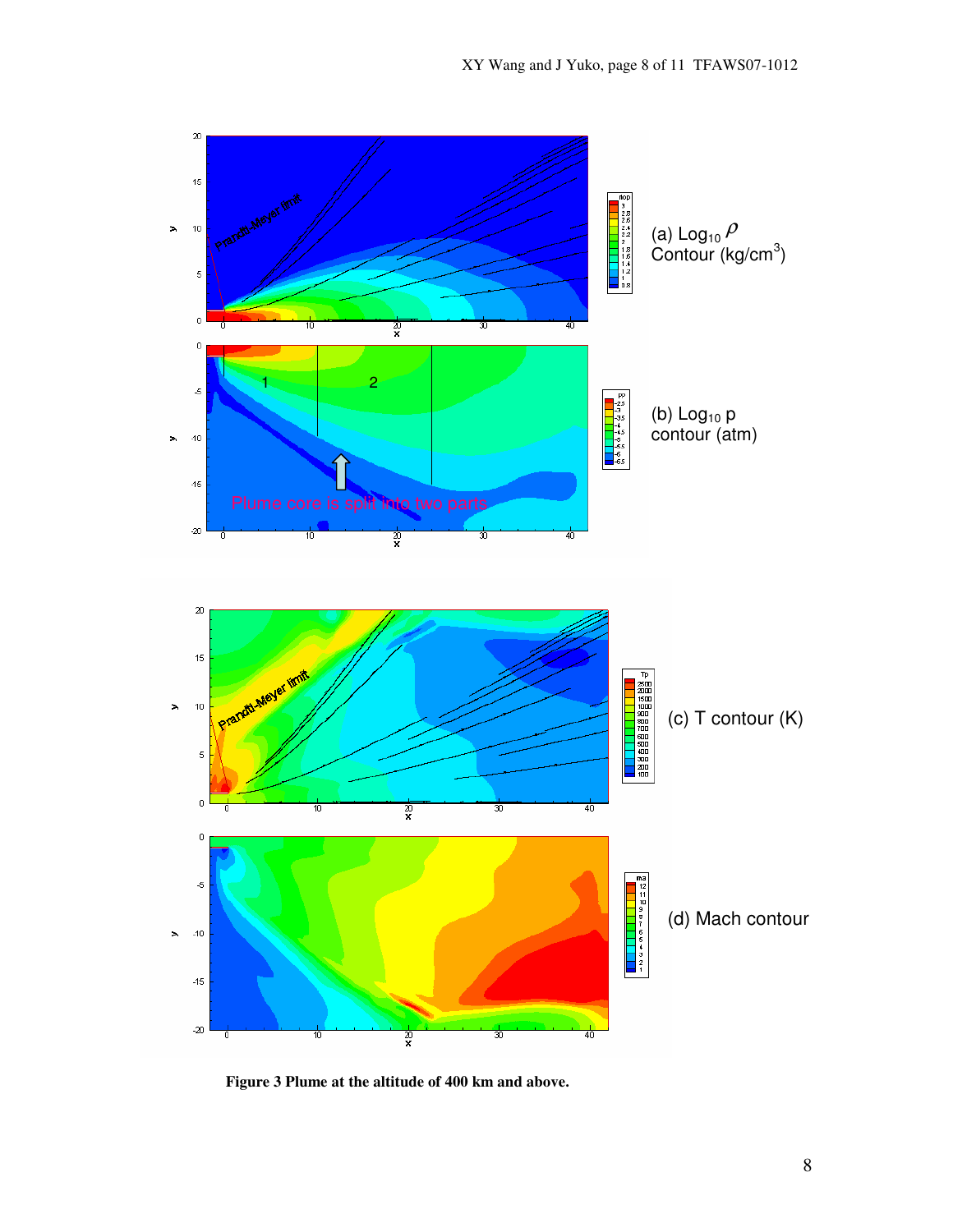

 **Figure 3 Plume at the altitude of 400 km and above.**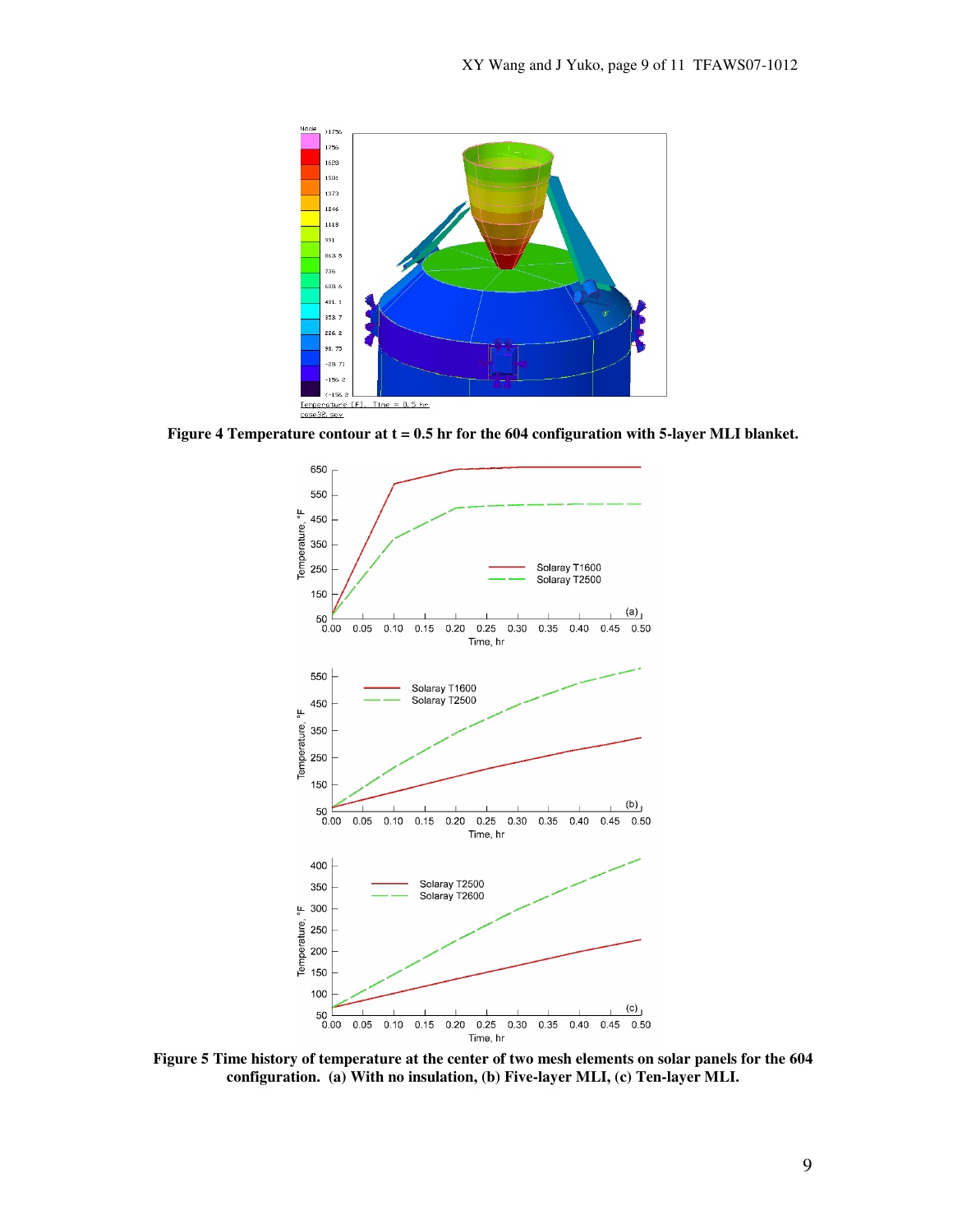

**Figure 4 Temperature contour at t = 0.5 hr for the 604 configuration with 5-layer MLI blanket.** 



**Figure 5 Time history of temperature at the center of two mesh elements on solar panels for the 604 configuration. (a) With no insulation, (b) Five-layer MLI, (c) Ten-layer MLI.**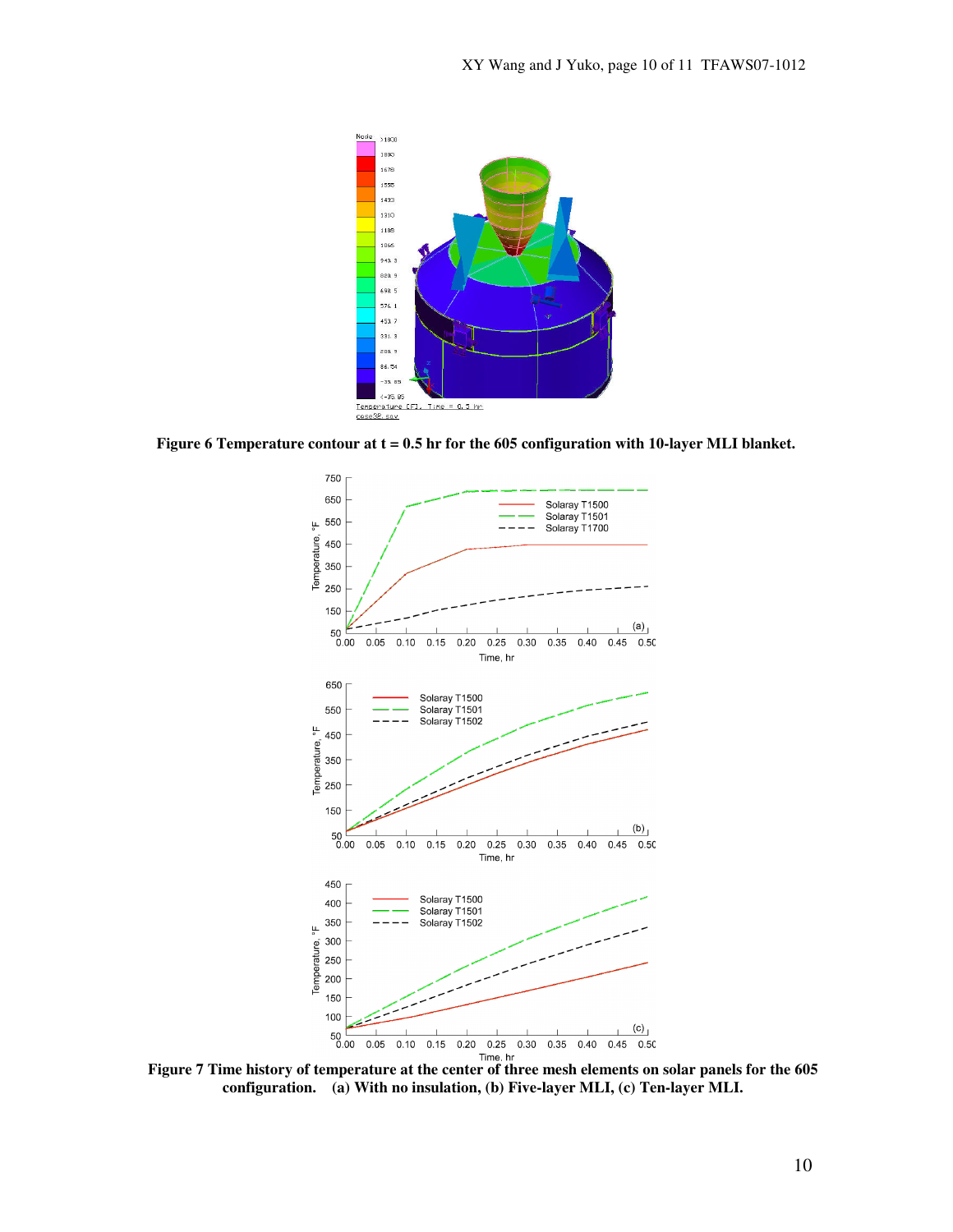

Figure 6 Temperature contour at t = 0.5 hr for the 605 configuration with 10-layer MLI blanket.



**Figure 7 Time history of temperature at the center of three mesh elements on solar panels for the 605 configuration. (a) With no insulation, (b) Five-layer MLI, (c) Ten-layer MLI.**